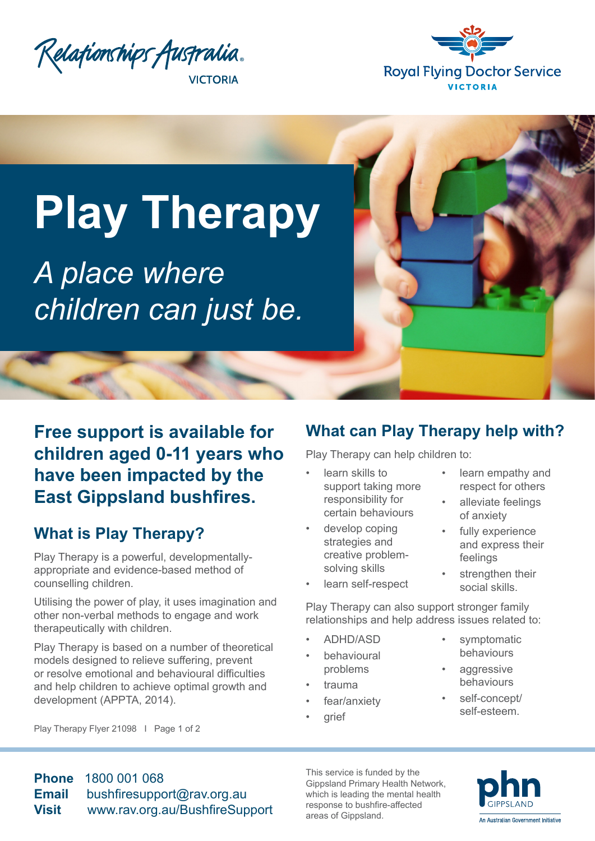



# **Play Therapy**

*A place where children can just be.*



## **What is Play Therapy?**

Play Therapy is a powerful, developmentallyappropriate and evidence-based method of counselling children.

Utilising the power of play, it uses imagination and other non-verbal methods to engage and work therapeutically with children.

Play Therapy is based on a number of theoretical models designed to relieve suffering, prevent or resolve emotional and behavioural difficulties and help children to achieve optimal growth and development (APPTA, 2014).

#### Play Therapy Flyer 21098 I Page 1 of 2

#### **What can Play Therapy help with?**

Play Therapy can help children to:

- learn skills to support taking more responsibility for certain behaviours
- develop coping strategies and creative problemsolving skills
- learn self-respect
- learn empathy and respect for others
- alleviate feelings of anxiety
- fully experience and express their feelings
- strengthen their social skills.

Play Therapy can also support stronger family relationships and help address issues related to:

- ADHD/ASD
- **behavioural** problems
- trauma
- fear/anxiety
- grief
- symptomatic behaviours
- aggressive behaviours
- self-concept/ self-esteem.

**Phone** 1800 001 068 **Email** [bushfiresupport@rav.org.au](mailto:bushfiresupport%40rav.org.au?subject=Play%20Therapy%20Enquiry) **Visit** [www.rav.org.au/BushfireSupport](https://www.relationshipsvictoria.com.au/services/counselling/bushfiresupport/)

This service is funded by the Gippsland Primary Health Network, which is leading the mental health response to bushfire-affected areas of Gippsland.